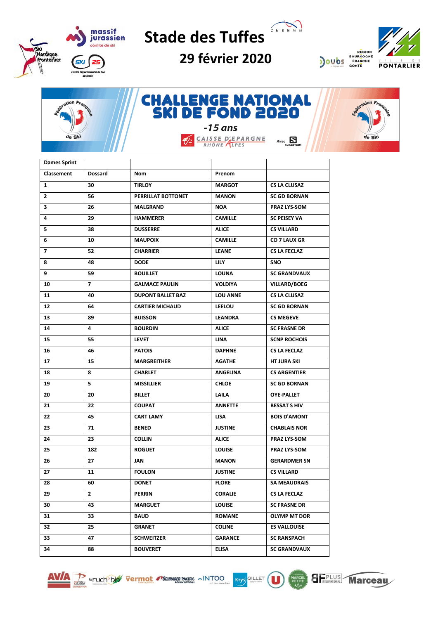

CNSNMM **Stade des Tuffes**

**29 février 2020** 





**CHALLENGE NATIONAL<br>SKI DE FOND 2020** tion Fran  $-15$  ans CAISSE D'EPARGNE de Ski  $Avec \n\sum_{\text{SALOMO}}$ €∕

| <b>Dames Sprint</b>      |                          |                          |                 |                     |
|--------------------------|--------------------------|--------------------------|-----------------|---------------------|
| Classement               | <b>Dossard</b>           | Nom                      | Prenom          |                     |
| $\mathbf{1}$             | 30                       | <b>TIRLOY</b>            | <b>MARGOT</b>   | <b>CS LA CLUSAZ</b> |
| $\overline{2}$           | 56                       | PERRILLAT BOTTONET       | <b>MANON</b>    | <b>SC GD BORNAN</b> |
| 3                        | 26                       | <b>MALGRAND</b>          | <b>NOA</b>      | PRAZ LYS-SOM        |
| 4                        | 29                       | <b>HAMMERER</b>          | <b>CAMILLE</b>  | <b>SC PEISEY VA</b> |
| 5                        | 38                       | <b>DUSSERRE</b>          | <b>ALICE</b>    | <b>CS VILLARD</b>   |
| 6                        | 10                       | <b>MAUPOIX</b>           | <b>CAMILLE</b>  | CO 7 LAUX GR        |
| $\overline{\phantom{a}}$ | 52                       | <b>CHARRIER</b>          | <b>LEANE</b>    | <b>CS LA FECLAZ</b> |
| 8                        | 48                       | <b>DODE</b>              | <b>LILY</b>     | <b>SNO</b>          |
| 9                        | 59                       | <b>BOUILLET</b>          | <b>LOUNA</b>    | <b>SC GRANDVAUX</b> |
| 10                       | $\overline{\phantom{a}}$ | <b>GALMACE PAULIN</b>    | <b>VOLDIYA</b>  | <b>VILLARD/BOEG</b> |
| 11                       | 40                       | <b>DUPONT BALLET BAZ</b> | <b>LOU ANNE</b> | <b>CS LA CLUSAZ</b> |
| 12                       | 64                       | <b>CARTIER MICHAUD</b>   | <b>LEELOU</b>   | <b>SC GD BORNAN</b> |
| 13                       | 89                       | <b>BUISSON</b>           | <b>LEANDRA</b>  | <b>CS MEGEVE</b>    |
| 14                       | 4                        | <b>BOURDIN</b>           | <b>ALICE</b>    | <b>SC FRASNE DR</b> |
| 15                       | 55                       | <b>LEVET</b>             | LINA            | <b>SCNP ROCHOIS</b> |
| 16                       | 46                       | <b>PATOIS</b>            | <b>DAPHNE</b>   | <b>CS LA FECLAZ</b> |
| 17                       | 15                       | <b>MARGREITHER</b>       | <b>AGATHE</b>   | <b>HT JURA SKI</b>  |
| 18                       | 8                        | <b>CHARLET</b>           | <b>ANGELINA</b> | <b>CS ARGENTIER</b> |
| 19                       | 5                        | <b>MISSILLIER</b>        | <b>CHLOE</b>    | <b>SC GD BORNAN</b> |
| 20                       | 20                       | <b>BILLET</b>            | LAILA           | <b>OYE PALLET</b>   |
| 21                       | 22                       | <b>COUPAT</b>            | <b>ANNETTE</b>  | <b>BESSAT S HIV</b> |
| 22                       | 45                       | <b>CART LAMY</b>         | <b>LISA</b>     | <b>BOIS D'AMONT</b> |
| 23                       | 71                       | <b>BENED</b>             | <b>JUSTINE</b>  | <b>CHABLAIS NOR</b> |
| 24                       | 23                       | <b>COLLIN</b>            | <b>ALICE</b>    | <b>PRAZ LYS-SOM</b> |
| 25                       | 182                      | <b>ROGUET</b>            | <b>LOUISE</b>   | <b>PRAZ LYS-SOM</b> |
| 26                       | 27                       | <b>JAN</b>               | <b>MANON</b>    | <b>GERARDMER SN</b> |
| 27                       | 11                       | <b>FOULON</b>            | <b>JUSTINE</b>  | <b>CS VILLARD</b>   |
| 28                       | 60                       | <b>DONET</b>             | <b>FLORE</b>    | <b>SA MEAUDRAIS</b> |
| 29                       | $\mathbf{2}$             | <b>PERRIN</b>            | <b>CORALIE</b>  | CS LA FECLAZ        |
| 30                       | 43                       | <b>MARGUET</b>           | <b>LOUISE</b>   | <b>SC FRASNE DR</b> |
| 31                       | 33                       | BAUD                     | <b>ROMANE</b>   | OLYMP MT DOR        |
| 32                       | 25                       | GRANET                   | <b>COLINE</b>   | <b>ES VALLOUISE</b> |
|                          |                          |                          |                 |                     |
| 33                       | 47                       | <b>SCHWEITZER</b>        | <b>GARANCE</b>  | <b>SC RANSPACH</b>  |





 $\mathbf{\mathbf{\mathsf{u}}}$ 

**SEPLUS** 

**Marceau**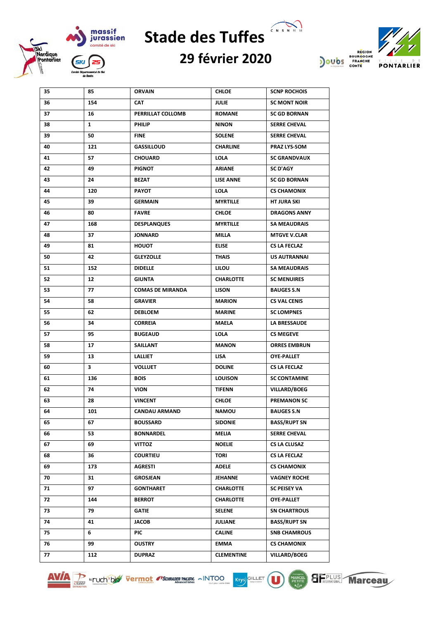



## **29 février 2020**



| 35 | 85  | <b>ORVAIN</b>           | <b>CHLOE</b>      | <b>SCNP ROCHOIS</b> |
|----|-----|-------------------------|-------------------|---------------------|
| 36 | 154 | CAT                     | <b>JULIE</b>      | <b>SC MONT NOIR</b> |
| 37 | 16  | PERRILLAT COLLOMB       | <b>ROMANE</b>     | <b>SC GD BORNAN</b> |
| 38 | 1   | <b>PHILIP</b>           | <b>NINON</b>      | <b>SERRE CHEVAL</b> |
| 39 | 50  | <b>FINE</b>             | <b>SOLENE</b>     | <b>SERRE CHEVAL</b> |
| 40 | 121 | <b>GASSILLOUD</b>       | <b>CHARLINE</b>   | <b>PRAZ LYS-SOM</b> |
| 41 | 57  | <b>CHOUARD</b>          | <b>LOLA</b>       | <b>SC GRANDVAUX</b> |
| 42 | 49  | <b>PIGNOT</b>           | ARIANE            | <b>SC D'AGY</b>     |
| 43 | 24  | BEZAT                   | <b>LISE ANNE</b>  | <b>SC GD BORNAN</b> |
| 44 | 120 | <b>PAYOT</b>            | <b>LOLA</b>       | <b>CS CHAMONIX</b>  |
| 45 | 39  | <b>GERMAIN</b>          | <b>MYRTILLE</b>   | HT JURA SKI         |
| 46 | 80  | <b>FAVRE</b>            | <b>CHLOE</b>      | <b>DRAGONS ANNY</b> |
| 47 | 168 | <b>DESPLANQUES</b>      | <b>MYRTILLE</b>   | <b>SA MEAUDRAIS</b> |
| 48 | 37  | <b>JONNARD</b>          | MILLA             | <b>MTGVE V.CLAR</b> |
| 49 | 81  | <b>HOUOT</b>            | <b>ELISE</b>      | <b>CS LA FECLAZ</b> |
| 50 | 42  | <b>GLEYZOLLE</b>        | <b>THAIS</b>      | US AUTRANNAI        |
| 51 | 152 | <b>DIDELLE</b>          | <b>LILOU</b>      | <b>SA MEAUDRAIS</b> |
| 52 | 12  | <b>GIUNTA</b>           | <b>CHARLOTTE</b>  | <b>SC MENUIRES</b>  |
| 53 | 77  | <b>COMAS DE MIRANDA</b> | <b>LISON</b>      | <b>BAUGES S.N</b>   |
| 54 | 58  | <b>GRAVIER</b>          | <b>MARION</b>     | <b>CS VAL CENIS</b> |
| 55 | 62  | <b>DEBLOEM</b>          | <b>MARINE</b>     | <b>SC LOMPNES</b>   |
| 56 | 34  | <b>CORREIA</b>          | MAELA             | LA BRESSAUDE        |
| 57 | 95  | <b>BUGEAUD</b>          | <b>LOLA</b>       | <b>CS MEGEVE</b>    |
| 58 | 17  | <b>SAILLANT</b>         | <b>MANON</b>      | <b>ORRES EMBRUN</b> |
| 59 | 13  | <b>LALLIET</b>          | <b>LISA</b>       | <b>OYE PALLET</b>   |
| 60 | 3   | <b>VOLLUET</b>          | <b>DOLINE</b>     | <b>CS LA FECLAZ</b> |
| 61 | 136 | <b>BOIS</b>             | <b>LOUISON</b>    | <b>SC CONTAMINE</b> |
| 62 | 74  | <b>VION</b>             | <b>TIFENN</b>     | <b>VILLARD/BOEG</b> |
| 63 | 28  | <b>VINCENT</b>          | <b>CHLOE</b>      | <b>PREMANON SC</b>  |
| 64 | 101 | <b>CANDAU ARMAND</b>    | <b>NAMOU</b>      | <b>BAUGES S.N</b>   |
| 65 | 67  | <b>BOUSSARD</b>         | <b>SIDONIE</b>    | <b>BASS/RUPT SN</b> |
| 66 | 53  | <b>BONNARDEL</b>        | MELIA             | <b>SERRE CHEVAL</b> |
| 67 | 69  | <b>VITTOZ</b>           | <b>NOELIE</b>     | <b>CS LA CLUSAZ</b> |
| 68 | 36  | <b>COURTIEU</b>         | TORI              | <b>CS LA FECLAZ</b> |
| 69 | 173 | <b>AGRESTI</b>          | <b>ADELE</b>      | <b>CS CHAMONIX</b>  |
| 70 | 31  | GROSJEAN                | JEHANNE           | <b>VAGNEY ROCHE</b> |
| 71 | 97  | <b>GONTHARET</b>        | <b>CHARLOTTE</b>  | <b>SC PEISEY VA</b> |
| 72 | 144 | <b>BERROT</b>           | <b>CHARLOTTE</b>  | <b>OYE PALLET</b>   |
| 73 | 79  | <b>GATIE</b>            | <b>SELENE</b>     | <b>SN CHARTROUS</b> |
| 74 | 41  | JACOB                   | JULIANE           | <b>BASS/RUPT SN</b> |
| 75 | 6   | PIC                     | <b>CALINE</b>     | <b>SNB CHAMROUS</b> |
| 76 | 99  | <b>OUSTRY</b>           | EMMA              | <b>CS CHAMONIX</b>  |
| 77 | 112 | <b>DUPRAZ</b>           | <b>CLEMENTINE</b> | <b>VILLARD/BOEG</b> |





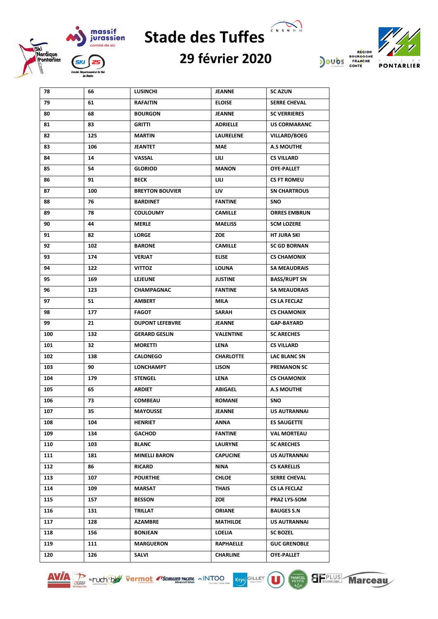

## CNSNMM **Stade des Tuffes**

## **29 février 2020**



| 78  | 66  | LUSINCHI               | JEANNE           | <b>SC AZUN</b>      |
|-----|-----|------------------------|------------------|---------------------|
| 79  | 61  | <b>RAFAITIN</b>        | <b>ELOISE</b>    | <b>SERRE CHEVAL</b> |
| 80  | 68  | <b>BOURGON</b>         | <b>JEANNE</b>    | <b>SC VERRIERES</b> |
| 81  | 83  | <b>GRITTI</b>          | ADRIELLE         | <b>US CORMARANC</b> |
| 82  | 125 | <b>MARTIN</b>          | LAURELENE        | <b>VILLARD/BOEG</b> |
| 83  | 106 | JEANTET                | MAE              | <b>A.S MOUTHE</b>   |
| 84  | 14  | VASSAL                 | LILI             | <b>CS VILLARD</b>   |
| 85  | 54  | <b>GLORIOD</b>         | <b>MANON</b>     | <b>OYE-PALLET</b>   |
| 86  | 91  | <b>BECK</b>            | LILI             | <b>CS FT ROMEU</b>  |
| 87  | 100 | <b>BREYTON BOUVIER</b> | LIV.             | <b>SN CHARTROUS</b> |
| 88  | 76  | <b>BARDINET</b>        | <b>FANTINE</b>   | <b>SNO</b>          |
| 89  | 78  | <b>COULOUMY</b>        | <b>CAMILLE</b>   | <b>ORRES EMBRUN</b> |
| 90  | 44  | <b>MERLE</b>           | <b>MAELISS</b>   | <b>SCM LOZERE</b>   |
| 91  | 82  | <b>LORGE</b>           | ZOE              | HT JURA SKI         |
| 92  | 102 | <b>BARONE</b>          | <b>CAMILLE</b>   | <b>SC GD BORNAN</b> |
| 93  | 174 | <b>VERJAT</b>          | <b>ELISE</b>     | <b>CS CHAMONIX</b>  |
| 94  | 122 | <b>VITTOZ</b>          | LOUNA            | <b>SA MEAUDRAIS</b> |
| 95  | 169 | <b>LEJEUNE</b>         | <b>JUSTINE</b>   | <b>BASS/RUPT SN</b> |
| 96  | 123 | <b>CHAMPAGNAC</b>      | <b>FANTINE</b>   | <b>SA MEAUDRAIS</b> |
| 97  | 51  | <b>AMBERT</b>          | MILA             | <b>CS LA FECLAZ</b> |
| 98  | 177 | <b>FAGOT</b>           | SARAH            | <b>CS CHAMONIX</b>  |
| 99  | 21  | <b>DUPONT LEFEBVRE</b> | JEANNE           | <b>GAP-BAYARD</b>   |
| 100 | 132 | <b>GERARD GESLIN</b>   | VALENTINE        | <b>SC ARECHES</b>   |
| 101 | 32  | <b>MORETTI</b>         | LENA             | <b>CS VILLARD</b>   |
| 102 | 138 | <b>CALONEGO</b>        | <b>CHARLOTTE</b> | LAC BLANC SN        |
| 103 | 90  | <b>LONCHAMPT</b>       | LISON            | <b>PREMANON SC</b>  |
| 104 | 179 | <b>STENGEL</b>         | LENA             | <b>CS CHAMONIX</b>  |
| 105 | 65  | <b>ARDIET</b>          | ABIGAEL          | <b>A.S MOUTHE</b>   |
| 106 | 73  | <b>COMBEAU</b>         | <b>ROMANE</b>    | <b>SNO</b>          |
| 107 | 35  | <b>MAYOUSSE</b>        | JEANNE           | US AUTRANNAI        |
| 108 | 104 | <b>HENRIET</b>         | ANNA             | <b>ES SAUGETTE</b>  |
| 109 | 134 | <b>GACHOD</b>          | <b>FANTINE</b>   | <b>VAL MORTEAU</b>  |
| 110 | 103 | <b>BLANC</b>           | <b>LAURYNE</b>   | <b>SC ARECHES</b>   |
| 111 | 181 | <b>MINELLI BARON</b>   | <b>CAPUCINE</b>  | US AUTRANNAI        |
| 112 | 86  | RICARD                 | NINA             | <b>CS KARELLIS</b>  |
| 113 | 107 | <b>POURTHIE</b>        | CHLOE            | <b>SERRE CHEVAL</b> |
| 114 | 109 | MARSAT                 | THAIS            | <b>CS LA FECLAZ</b> |
| 115 | 157 | <b>BESSON</b>          | ZOE              | <b>PRAZ LYS-SOM</b> |
| 116 | 131 | TRILLAT                | <b>ORIANE</b>    | <b>BAUGES S.N</b>   |
| 117 | 128 | <b>AZAMBRE</b>         | MATHILDE         | US AUTRANNAI        |
| 118 | 156 | <b>BONJEAN</b>         | LOELIA           | <b>SC BOZEL</b>     |
| 119 | 111 | <b>MARGUERON</b>       | RAPHAELLE        | <b>GUC GRENOBLE</b> |
| 120 | 126 | SALVI                  | <b>CHARLINE</b>  | <b>OYE-PALLET</b>   |





 $\mathbf \Omega$